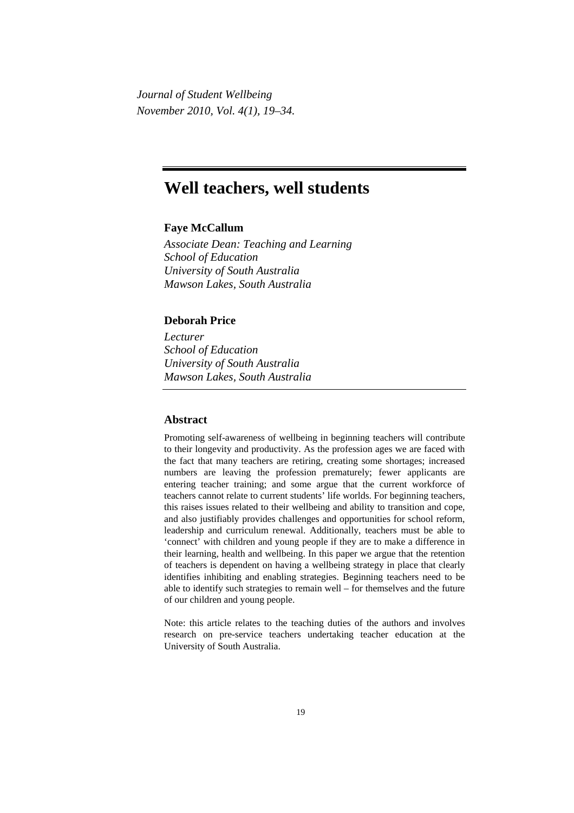*Journal of Student Wellbeing November 2010, Vol. 4(1), 19–34.*

# **Well teachers, well students**

# **Faye McCallum**

*Associate Dean: Teaching and Learning School of Education University of South Australia Mawson Lakes, South Australia* 

# **Deborah Price**

*Lecturer School of Education University of South Australia Mawson Lakes, South Australia* 

## **Abstract**

Promoting self-awareness of wellbeing in beginning teachers will contribute to their longevity and productivity. As the profession ages we are faced with the fact that many teachers are retiring, creating some shortages; increased numbers are leaving the profession prematurely; fewer applicants are entering teacher training; and some argue that the current workforce of teachers cannot relate to current students' life worlds. For beginning teachers, this raises issues related to their wellbeing and ability to transition and cope, and also justifiably provides challenges and opportunities for school reform, leadership and curriculum renewal. Additionally, teachers must be able to 'connect' with children and young people if they are to make a difference in their learning, health and wellbeing. In this paper we argue that the retention of teachers is dependent on having a wellbeing strategy in place that clearly identifies inhibiting and enabling strategies. Beginning teachers need to be able to identify such strategies to remain well – for themselves and the future of our children and young people.

Note: this article relates to the teaching duties of the authors and involves research on pre-service teachers undertaking teacher education at the University of South Australia.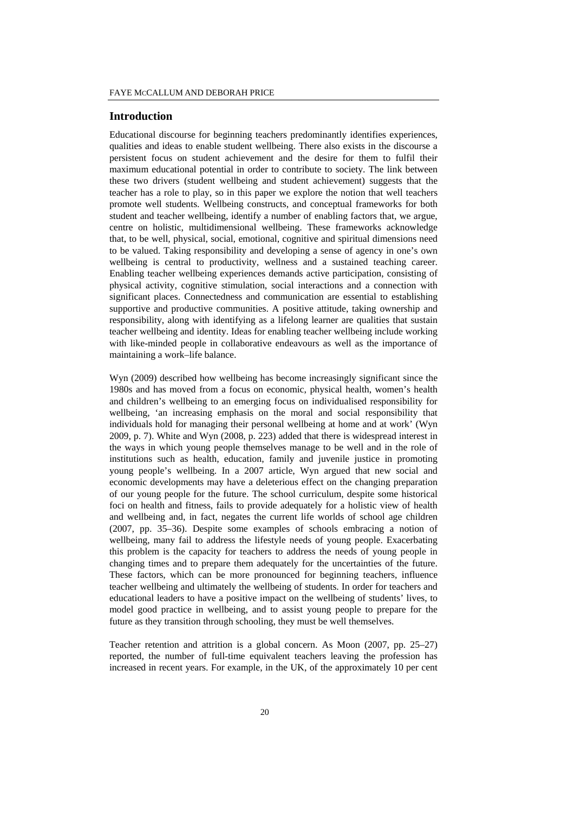#### **Introduction**

Educational discourse for beginning teachers predominantly identifies experiences, qualities and ideas to enable student wellbeing. There also exists in the discourse a persistent focus on student achievement and the desire for them to fulfil their maximum educational potential in order to contribute to society. The link between these two drivers (student wellbeing and student achievement) suggests that the teacher has a role to play, so in this paper we explore the notion that well teachers promote well students. Wellbeing constructs, and conceptual frameworks for both student and teacher wellbeing, identify a number of enabling factors that, we argue, centre on holistic, multidimensional wellbeing. These frameworks acknowledge that, to be well, physical, social, emotional, cognitive and spiritual dimensions need to be valued. Taking responsibility and developing a sense of agency in one's own wellbeing is central to productivity, wellness and a sustained teaching career. Enabling teacher wellbeing experiences demands active participation, consisting of physical activity, cognitive stimulation, social interactions and a connection with significant places. Connectedness and communication are essential to establishing supportive and productive communities. A positive attitude, taking ownership and responsibility, along with identifying as a lifelong learner are qualities that sustain teacher wellbeing and identity. Ideas for enabling teacher wellbeing include working with like-minded people in collaborative endeavours as well as the importance of maintaining a work–life balance.

Wyn (2009) described how wellbeing has become increasingly significant since the 1980s and has moved from a focus on economic, physical health, women's health and children's wellbeing to an emerging focus on individualised responsibility for wellbeing, 'an increasing emphasis on the moral and social responsibility that individuals hold for managing their personal wellbeing at home and at work' (Wyn 2009, p. 7). White and Wyn (2008, p. 223) added that there is widespread interest in the ways in which young people themselves manage to be well and in the role of institutions such as health, education, family and juvenile justice in promoting young people's wellbeing. In a 2007 article, Wyn argued that new social and economic developments may have a deleterious effect on the changing preparation of our young people for the future. The school curriculum, despite some historical foci on health and fitness, fails to provide adequately for a holistic view of health and wellbeing and, in fact, negates the current life worlds of school age children (2007, pp. 35–36). Despite some examples of schools embracing a notion of wellbeing, many fail to address the lifestyle needs of young people. Exacerbating this problem is the capacity for teachers to address the needs of young people in changing times and to prepare them adequately for the uncertainties of the future. These factors, which can be more pronounced for beginning teachers, influence teacher wellbeing and ultimately the wellbeing of students. In order for teachers and educational leaders to have a positive impact on the wellbeing of students' lives, to model good practice in wellbeing, and to assist young people to prepare for the future as they transition through schooling, they must be well themselves.

Teacher retention and attrition is a global concern. As Moon (2007, pp. 25–27) reported, the number of full-time equivalent teachers leaving the profession has increased in recent years. For example, in the UK, of the approximately 10 per cent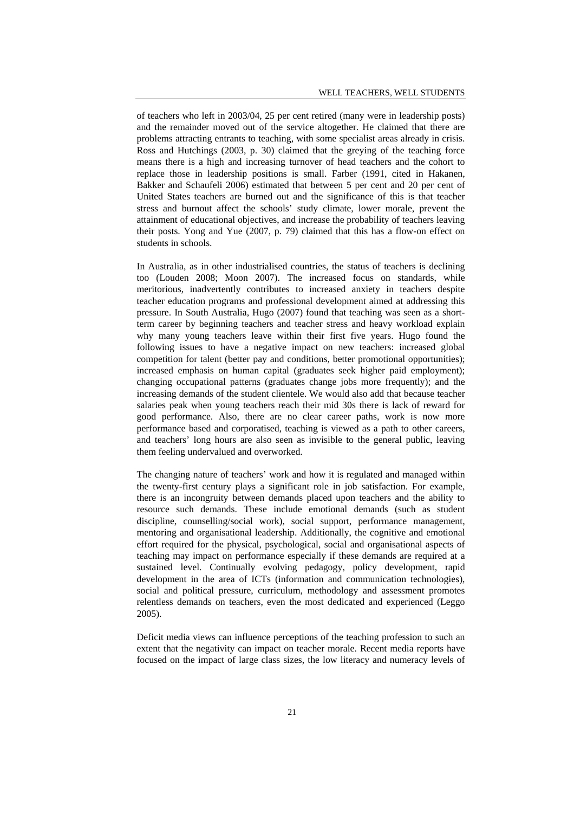of teachers who left in 2003/04, 25 per cent retired (many were in leadership posts) and the remainder moved out of the service altogether. He claimed that there are problems attracting entrants to teaching, with some specialist areas already in crisis. Ross and Hutchings (2003, p. 30) claimed that the greying of the teaching force means there is a high and increasing turnover of head teachers and the cohort to replace those in leadership positions is small. Farber (1991, cited in Hakanen, Bakker and Schaufeli 2006) estimated that between 5 per cent and 20 per cent of United States teachers are burned out and the significance of this is that teacher stress and burnout affect the schools' study climate, lower morale, prevent the attainment of educational objectives, and increase the probability of teachers leaving their posts. Yong and Yue (2007, p. 79) claimed that this has a flow-on effect on students in schools.

In Australia, as in other industrialised countries, the status of teachers is declining too (Louden 2008; Moon 2007). The increased focus on standards, while meritorious, inadvertently contributes to increased anxiety in teachers despite teacher education programs and professional development aimed at addressing this pressure. In South Australia, Hugo (2007) found that teaching was seen as a shortterm career by beginning teachers and teacher stress and heavy workload explain why many young teachers leave within their first five years. Hugo found the following issues to have a negative impact on new teachers: increased global competition for talent (better pay and conditions, better promotional opportunities); increased emphasis on human capital (graduates seek higher paid employment); changing occupational patterns (graduates change jobs more frequently); and the increasing demands of the student clientele. We would also add that because teacher salaries peak when young teachers reach their mid 30s there is lack of reward for good performance. Also, there are no clear career paths, work is now more performance based and corporatised, teaching is viewed as a path to other careers, and teachers' long hours are also seen as invisible to the general public, leaving them feeling undervalued and overworked.

The changing nature of teachers' work and how it is regulated and managed within the twenty-first century plays a significant role in job satisfaction. For example, there is an incongruity between demands placed upon teachers and the ability to resource such demands. These include emotional demands (such as student discipline, counselling/social work), social support, performance management, mentoring and organisational leadership. Additionally, the cognitive and emotional effort required for the physical, psychological, social and organisational aspects of teaching may impact on performance especially if these demands are required at a sustained level. Continually evolving pedagogy, policy development, rapid development in the area of ICTs (information and communication technologies), social and political pressure, curriculum, methodology and assessment promotes relentless demands on teachers, even the most dedicated and experienced (Leggo 2005).

Deficit media views can influence perceptions of the teaching profession to such an extent that the negativity can impact on teacher morale. Recent media reports have focused on the impact of large class sizes, the low literacy and numeracy levels of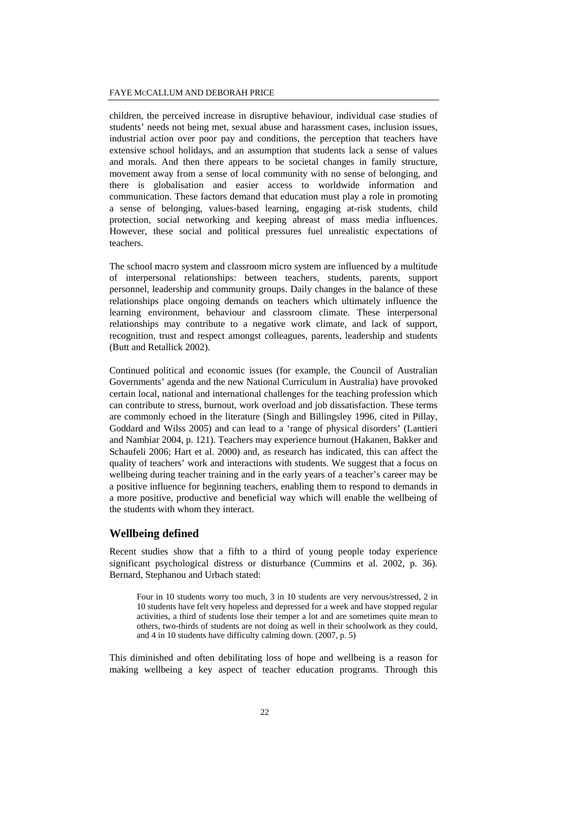children, the perceived increase in disruptive behaviour, individual case studies of students' needs not being met, sexual abuse and harassment cases, inclusion issues, industrial action over poor pay and conditions, the perception that teachers have extensive school holidays, and an assumption that students lack a sense of values and morals. And then there appears to be societal changes in family structure, movement away from a sense of local community with no sense of belonging, and there is globalisation and easier access to worldwide information and communication. These factors demand that education must play a role in promoting a sense of belonging, values-based learning, engaging at-risk students, child protection, social networking and keeping abreast of mass media influences. However, these social and political pressures fuel unrealistic expectations of teachers.

The school macro system and classroom micro system are influenced by a multitude of interpersonal relationships: between teachers, students, parents, support personnel, leadership and community groups. Daily changes in the balance of these relationships place ongoing demands on teachers which ultimately influence the learning environment, behaviour and classroom climate. These interpersonal relationships may contribute to a negative work climate, and lack of support, recognition, trust and respect amongst colleagues, parents, leadership and students (Butt and Retallick 2002).

Continued political and economic issues (for example, the Council of Australian Governments' agenda and the new National Curriculum in Australia) have provoked certain local, national and international challenges for the teaching profession which can contribute to stress, burnout, work overload and job dissatisfaction. These terms are commonly echoed in the literature (Singh and Billingsley 1996, cited in Pillay, Goddard and Wilss 2005) and can lead to a 'range of physical disorders' (Lantieri and Nambiar 2004, p. 121). Teachers may experience burnout (Hakanen, Bakker and Schaufeli 2006; Hart et al. 2000) and, as research has indicated, this can affect the quality of teachers' work and interactions with students. We suggest that a focus on wellbeing during teacher training and in the early years of a teacher's career may be a positive influence for beginning teachers, enabling them to respond to demands in a more positive, productive and beneficial way which will enable the wellbeing of the students with whom they interact.

#### **Wellbeing defined**

Recent studies show that a fifth to a third of young people today experience significant psychological distress or disturbance (Cummins et al. 2002, p. 36). Bernard, Stephanou and Urbach stated:

Four in 10 students worry too much, 3 in 10 students are very nervous/stressed, 2 in 10 students have felt very hopeless and depressed for a week and have stopped regular activities, a third of students lose their temper a lot and are sometimes quite mean to others, two-thirds of students are not doing as well in their schoolwork as they could, and 4 in 10 students have difficulty calming down. (2007, p. 5)

This diminished and often debilitating loss of hope and wellbeing is a reason for making wellbeing a key aspect of teacher education programs. Through this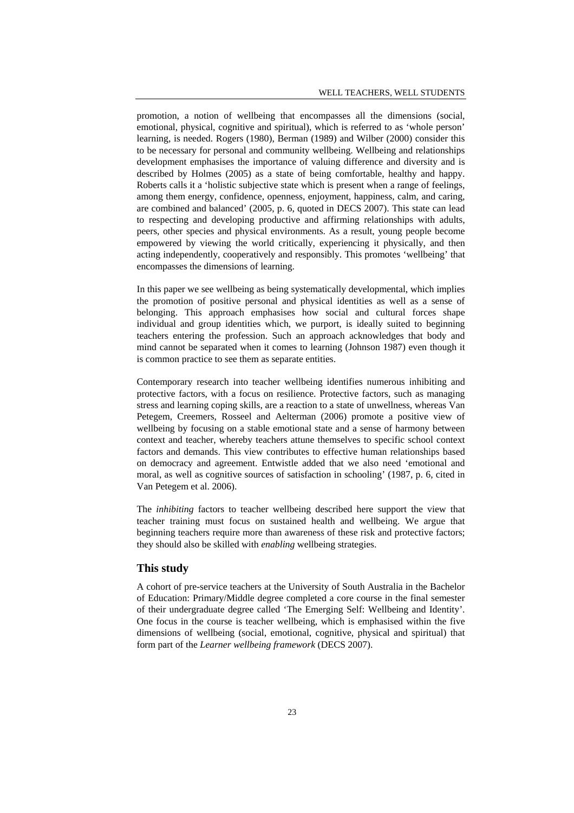promotion, a notion of wellbeing that encompasses all the dimensions (social, emotional, physical, cognitive and spiritual), which is referred to as 'whole person' learning, is needed. Rogers (1980), Berman (1989) and Wilber (2000) consider this to be necessary for personal and community wellbeing. Wellbeing and relationships development emphasises the importance of valuing difference and diversity and is described by Holmes (2005) as a state of being comfortable, healthy and happy. Roberts calls it a 'holistic subjective state which is present when a range of feelings, among them energy, confidence, openness, enjoyment, happiness, calm, and caring, are combined and balanced' (2005, p. 6, quoted in DECS 2007). This state can lead to respecting and developing productive and affirming relationships with adults, peers, other species and physical environments. As a result, young people become empowered by viewing the world critically, experiencing it physically, and then acting independently, cooperatively and responsibly. This promotes 'wellbeing' that encompasses the dimensions of learning.

In this paper we see wellbeing as being systematically developmental, which implies the promotion of positive personal and physical identities as well as a sense of belonging. This approach emphasises how social and cultural forces shape individual and group identities which, we purport, is ideally suited to beginning teachers entering the profession. Such an approach acknowledges that body and mind cannot be separated when it comes to learning (Johnson 1987) even though it is common practice to see them as separate entities.

Contemporary research into teacher wellbeing identifies numerous inhibiting and protective factors, with a focus on resilience. Protective factors, such as managing stress and learning coping skills, are a reaction to a state of unwellness, whereas Van Petegem, Creemers, Rosseel and Aelterman (2006) promote a positive view of wellbeing by focusing on a stable emotional state and a sense of harmony between context and teacher, whereby teachers attune themselves to specific school context factors and demands. This view contributes to effective human relationships based on democracy and agreement. Entwistle added that we also need 'emotional and moral, as well as cognitive sources of satisfaction in schooling' (1987, p. 6, cited in Van Petegem et al. 2006).

The *inhibiting* factors to teacher wellbeing described here support the view that teacher training must focus on sustained health and wellbeing. We argue that beginning teachers require more than awareness of these risk and protective factors; they should also be skilled with *enabling* wellbeing strategies.

#### **This study**

A cohort of pre-service teachers at the University of South Australia in the Bachelor of Education: Primary/Middle degree completed a core course in the final semester of their undergraduate degree called 'The Emerging Self: Wellbeing and Identity'. One focus in the course is teacher wellbeing, which is emphasised within the five dimensions of wellbeing (social, emotional, cognitive, physical and spiritual) that form part of the *Learner wellbeing framework* (DECS 2007).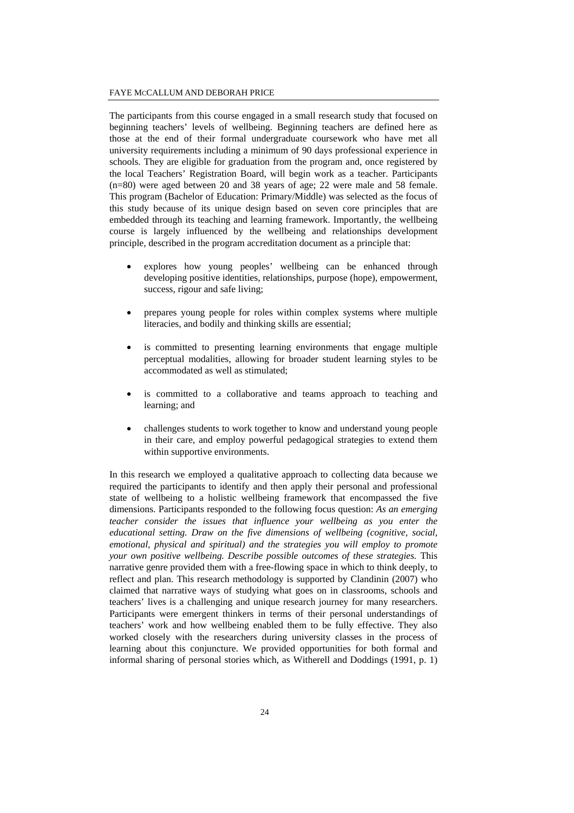The participants from this course engaged in a small research study that focused on beginning teachers' levels of wellbeing. Beginning teachers are defined here as those at the end of their formal undergraduate coursework who have met all university requirements including a minimum of 90 days professional experience in schools. They are eligible for graduation from the program and, once registered by the local Teachers' Registration Board, will begin work as a teacher. Participants (n=80) were aged between 20 and 38 years of age; 22 were male and 58 female. This program (Bachelor of Education: Primary/Middle) was selected as the focus of this study because of its unique design based on seven core principles that are embedded through its teaching and learning framework. Importantly, the wellbeing course is largely influenced by the wellbeing and relationships development principle, described in the program accreditation document as a principle that:

- explores how young peoples' wellbeing can be enhanced through developing positive identities, relationships, purpose (hope), empowerment, success, rigour and safe living;
- prepares young people for roles within complex systems where multiple literacies, and bodily and thinking skills are essential;
- is committed to presenting learning environments that engage multiple perceptual modalities, allowing for broader student learning styles to be accommodated as well as stimulated;
- is committed to a collaborative and teams approach to teaching and learning; and
- challenges students to work together to know and understand young people in their care, and employ powerful pedagogical strategies to extend them within supportive environments.

In this research we employed a qualitative approach to collecting data because we required the participants to identify and then apply their personal and professional state of wellbeing to a holistic wellbeing framework that encompassed the five dimensions. Participants responded to the following focus question: *As an emerging teacher consider the issues that influence your wellbeing as you enter the educational setting. Draw on the five dimensions of wellbeing (cognitive, social, emotional, physical and spiritual) and the strategies you will employ to promote your own positive wellbeing. Describe possible outcomes of these strategies.* This narrative genre provided them with a free-flowing space in which to think deeply, to reflect and plan. This research methodology is supported by Clandinin (2007) who claimed that narrative ways of studying what goes on in classrooms, schools and teachers' lives is a challenging and unique research journey for many researchers. Participants were emergent thinkers in terms of their personal understandings of teachers' work and how wellbeing enabled them to be fully effective. They also worked closely with the researchers during university classes in the process of learning about this conjuncture. We provided opportunities for both formal and informal sharing of personal stories which, as Witherell and Doddings (1991, p. 1)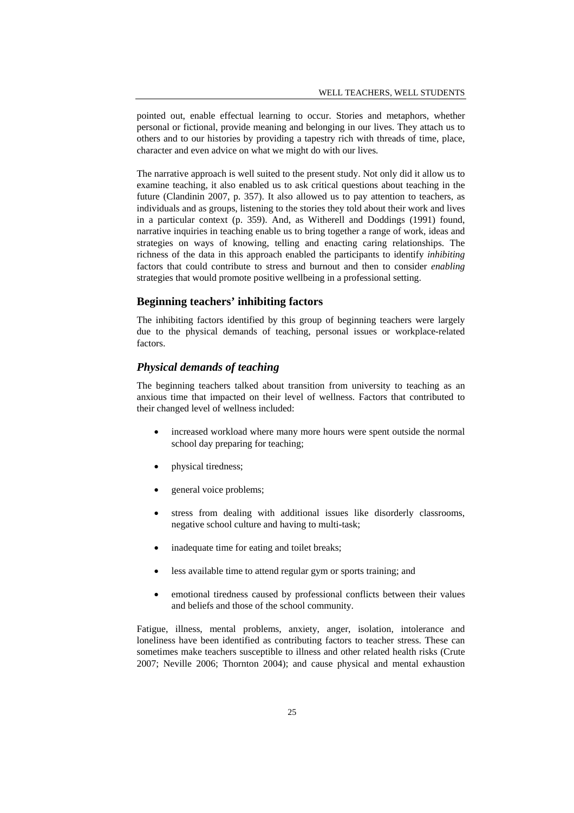pointed out, enable effectual learning to occur. Stories and metaphors, whether personal or fictional, provide meaning and belonging in our lives. They attach us to others and to our histories by providing a tapestry rich with threads of time, place, character and even advice on what we might do with our lives*.* 

The narrative approach is well suited to the present study. Not only did it allow us to examine teaching, it also enabled us to ask critical questions about teaching in the future (Clandinin 2007, p. 357). It also allowed us to pay attention to teachers, as individuals and as groups, listening to the stories they told about their work and lives in a particular context (p. 359). And, as Witherell and Doddings (1991) found, narrative inquiries in teaching enable us to bring together a range of work, ideas and strategies on ways of knowing, telling and enacting caring relationships. The richness of the data in this approach enabled the participants to identify *inhibiting* factors that could contribute to stress and burnout and then to consider *enabling* strategies that would promote positive wellbeing in a professional setting.

## **Beginning teachers' inhibiting factors**

The inhibiting factors identified by this group of beginning teachers were largely due to the physical demands of teaching, personal issues or workplace-related factors.

## *Physical demands of teaching*

The beginning teachers talked about transition from university to teaching as an anxious time that impacted on their level of wellness. Factors that contributed to their changed level of wellness included:

- increased workload where many more hours were spent outside the normal school day preparing for teaching;
- physical tiredness;
- general voice problems;
- stress from dealing with additional issues like disorderly classrooms, negative school culture and having to multi-task;
- inadequate time for eating and toilet breaks;
- less available time to attend regular gym or sports training; and
- emotional tiredness caused by professional conflicts between their values and beliefs and those of the school community.

Fatigue, illness, mental problems, anxiety, anger, isolation, intolerance and loneliness have been identified as contributing factors to teacher stress. These can sometimes make teachers susceptible to illness and other related health risks (Crute 2007; Neville 2006; Thornton 2004); and cause physical and mental exhaustion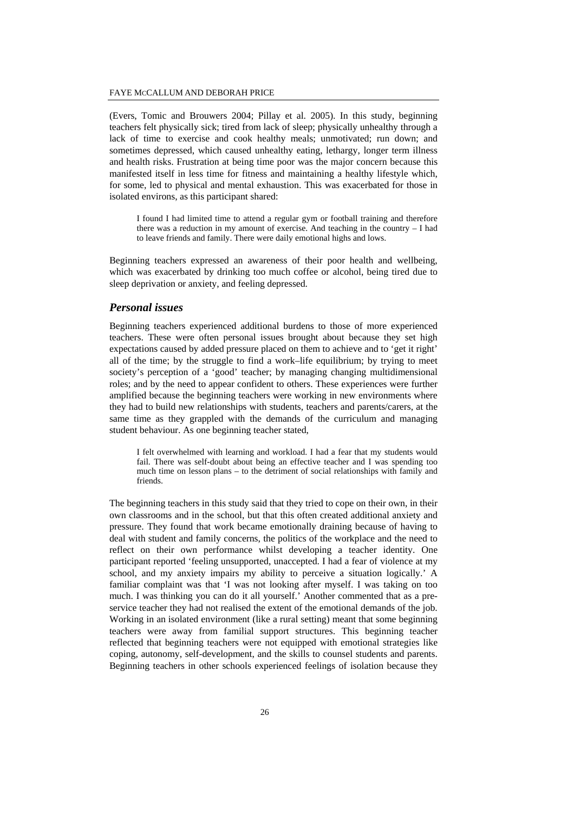(Evers, Tomic and Brouwers 2004; Pillay et al. 2005). In this study, beginning teachers felt physically sick; tired from lack of sleep; physically unhealthy through a lack of time to exercise and cook healthy meals; unmotivated; run down; and sometimes depressed, which caused unhealthy eating, lethargy, longer term illness and health risks. Frustration at being time poor was the major concern because this manifested itself in less time for fitness and maintaining a healthy lifestyle which, for some, led to physical and mental exhaustion. This was exacerbated for those in isolated environs, as this participant shared:

I found I had limited time to attend a regular gym or football training and therefore there was a reduction in my amount of exercise. And teaching in the country – I had to leave friends and family. There were daily emotional highs and lows.

Beginning teachers expressed an awareness of their poor health and wellbeing, which was exacerbated by drinking too much coffee or alcohol, being tired due to sleep deprivation or anxiety, and feeling depressed.

#### *Personal issues*

Beginning teachers experienced additional burdens to those of more experienced teachers. These were often personal issues brought about because they set high expectations caused by added pressure placed on them to achieve and to 'get it right' all of the time; by the struggle to find a work–life equilibrium; by trying to meet society's perception of a 'good' teacher; by managing changing multidimensional roles; and by the need to appear confident to others. These experiences were further amplified because the beginning teachers were working in new environments where they had to build new relationships with students, teachers and parents/carers, at the same time as they grappled with the demands of the curriculum and managing student behaviour. As one beginning teacher stated,

I felt overwhelmed with learning and workload. I had a fear that my students would fail. There was self-doubt about being an effective teacher and I was spending too much time on lesson plans – to the detriment of social relationships with family and friends.

The beginning teachers in this study said that they tried to cope on their own, in their own classrooms and in the school, but that this often created additional anxiety and pressure. They found that work became emotionally draining because of having to deal with student and family concerns, the politics of the workplace and the need to reflect on their own performance whilst developing a teacher identity. One participant reported 'feeling unsupported, unaccepted. I had a fear of violence at my school, and my anxiety impairs my ability to perceive a situation logically.' A familiar complaint was that 'I was not looking after myself. I was taking on too much. I was thinking you can do it all yourself.' Another commented that as a preservice teacher they had not realised the extent of the emotional demands of the job. Working in an isolated environment (like a rural setting) meant that some beginning teachers were away from familial support structures. This beginning teacher reflected that beginning teachers were not equipped with emotional strategies like coping, autonomy, self-development, and the skills to counsel students and parents. Beginning teachers in other schools experienced feelings of isolation because they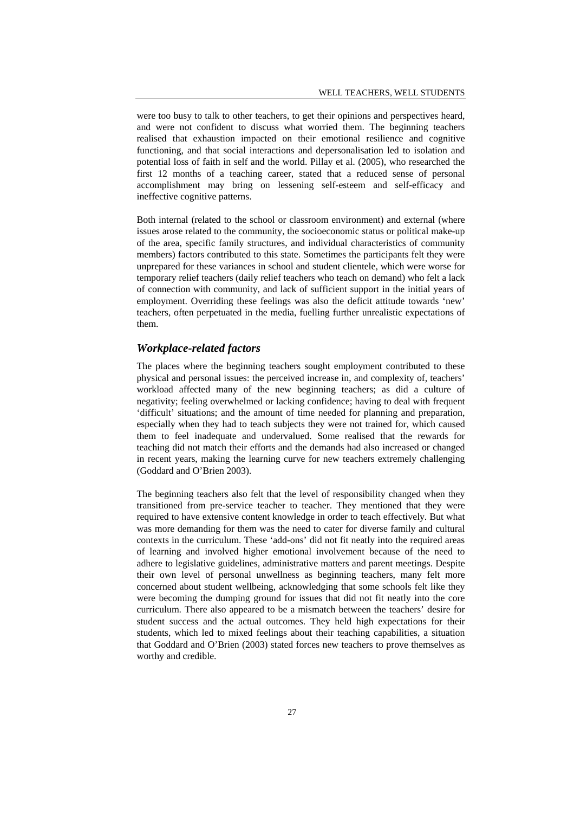were too busy to talk to other teachers, to get their opinions and perspectives heard, and were not confident to discuss what worried them. The beginning teachers realised that exhaustion impacted on their emotional resilience and cognitive functioning, and that social interactions and depersonalisation led to isolation and potential loss of faith in self and the world. Pillay et al. (2005), who researched the first 12 months of a teaching career, stated that a reduced sense of personal accomplishment may bring on lessening self-esteem and self-efficacy and ineffective cognitive patterns.

Both internal (related to the school or classroom environment) and external (where issues arose related to the community, the socioeconomic status or political make-up of the area, specific family structures, and individual characteristics of community members) factors contributed to this state. Sometimes the participants felt they were unprepared for these variances in school and student clientele, which were worse for temporary relief teachers (daily relief teachers who teach on demand) who felt a lack of connection with community, and lack of sufficient support in the initial years of employment. Overriding these feelings was also the deficit attitude towards 'new' teachers, often perpetuated in the media, fuelling further unrealistic expectations of them.

## *Workplace-related factors*

The places where the beginning teachers sought employment contributed to these physical and personal issues: the perceived increase in, and complexity of, teachers' workload affected many of the new beginning teachers; as did a culture of negativity; feeling overwhelmed or lacking confidence; having to deal with frequent 'difficult' situations; and the amount of time needed for planning and preparation, especially when they had to teach subjects they were not trained for, which caused them to feel inadequate and undervalued. Some realised that the rewards for teaching did not match their efforts and the demands had also increased or changed in recent years, making the learning curve for new teachers extremely challenging (Goddard and O'Brien 2003).

The beginning teachers also felt that the level of responsibility changed when they transitioned from pre-service teacher to teacher. They mentioned that they were required to have extensive content knowledge in order to teach effectively. But what was more demanding for them was the need to cater for diverse family and cultural contexts in the curriculum. These 'add-ons' did not fit neatly into the required areas of learning and involved higher emotional involvement because of the need to adhere to legislative guidelines, administrative matters and parent meetings. Despite their own level of personal unwellness as beginning teachers, many felt more concerned about student wellbeing, acknowledging that some schools felt like they were becoming the dumping ground for issues that did not fit neatly into the core curriculum. There also appeared to be a mismatch between the teachers' desire for student success and the actual outcomes. They held high expectations for their students, which led to mixed feelings about their teaching capabilities, a situation that Goddard and O'Brien (2003) stated forces new teachers to prove themselves as worthy and credible.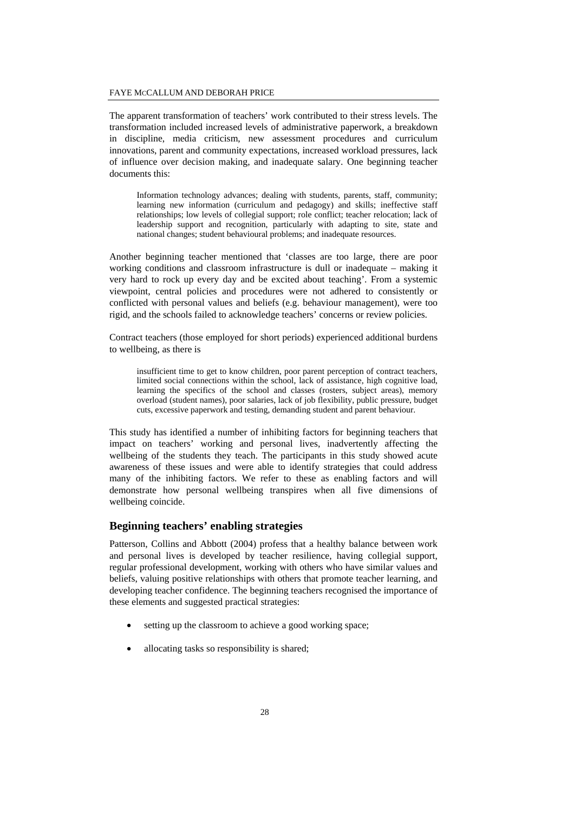The apparent transformation of teachers' work contributed to their stress levels. The transformation included increased levels of administrative paperwork, a breakdown in discipline, media criticism, new assessment procedures and curriculum innovations, parent and community expectations, increased workload pressures, lack of influence over decision making, and inadequate salary. One beginning teacher documents this:

Information technology advances; dealing with students, parents, staff, community; learning new information (curriculum and pedagogy) and skills; ineffective staff relationships; low levels of collegial support; role conflict; teacher relocation; lack of leadership support and recognition, particularly with adapting to site, state and national changes; student behavioural problems; and inadequate resources.

Another beginning teacher mentioned that 'classes are too large, there are poor working conditions and classroom infrastructure is dull or inadequate – making it very hard to rock up every day and be excited about teaching'. From a systemic viewpoint, central policies and procedures were not adhered to consistently or conflicted with personal values and beliefs (e.g. behaviour management), were too rigid, and the schools failed to acknowledge teachers' concerns or review policies.

Contract teachers (those employed for short periods) experienced additional burdens to wellbeing, as there is

insufficient time to get to know children, poor parent perception of contract teachers, limited social connections within the school, lack of assistance, high cognitive load, learning the specifics of the school and classes (rosters, subject areas), memory overload (student names), poor salaries, lack of job flexibility, public pressure, budget cuts, excessive paperwork and testing, demanding student and parent behaviour.

This study has identified a number of inhibiting factors for beginning teachers that impact on teachers' working and personal lives, inadvertently affecting the wellbeing of the students they teach. The participants in this study showed acute awareness of these issues and were able to identify strategies that could address many of the inhibiting factors. We refer to these as enabling factors and will demonstrate how personal wellbeing transpires when all five dimensions of wellbeing coincide.

## **Beginning teachers' enabling strategies**

Patterson, Collins and Abbott (2004) profess that a healthy balance between work and personal lives is developed by teacher resilience, having collegial support, regular professional development, working with others who have similar values and beliefs, valuing positive relationships with others that promote teacher learning, and developing teacher confidence. The beginning teachers recognised the importance of these elements and suggested practical strategies:

- setting up the classroom to achieve a good working space;
- allocating tasks so responsibility is shared;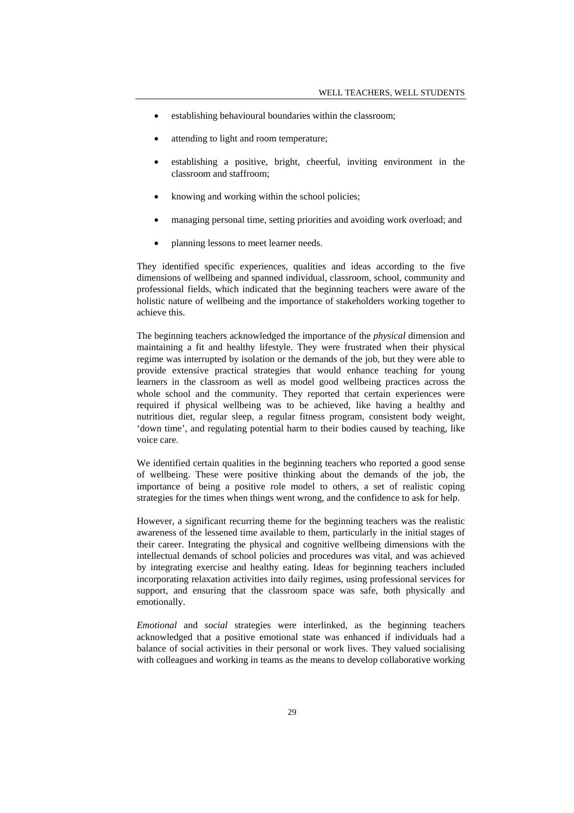- establishing behavioural boundaries within the classroom;
- attending to light and room temperature;
- establishing a positive, bright, cheerful, inviting environment in the classroom and staffroom;
- knowing and working within the school policies;
- managing personal time, setting priorities and avoiding work overload; and
- planning lessons to meet learner needs.

They identified specific experiences, qualities and ideas according to the five dimensions of wellbeing and spanned individual, classroom, school, community and professional fields, which indicated that the beginning teachers were aware of the holistic nature of wellbeing and the importance of stakeholders working together to achieve this.

The beginning teachers acknowledged the importance of the *physical* dimension and maintaining a fit and healthy lifestyle. They were frustrated when their physical regime was interrupted by isolation or the demands of the job, but they were able to provide extensive practical strategies that would enhance teaching for young learners in the classroom as well as model good wellbeing practices across the whole school and the community. They reported that certain experiences were required if physical wellbeing was to be achieved, like having a healthy and nutritious diet, regular sleep, a regular fitness program, consistent body weight, 'down time', and regulating potential harm to their bodies caused by teaching, like voice care.

We identified certain qualities in the beginning teachers who reported a good sense of wellbeing. These were positive thinking about the demands of the job, the importance of being a positive role model to others, a set of realistic coping strategies for the times when things went wrong, and the confidence to ask for help.

However, a significant recurring theme for the beginning teachers was the realistic awareness of the lessened time available to them, particularly in the initial stages of their career. Integrating the physical and cognitive wellbeing dimensions with the intellectual demands of school policies and procedures was vital, and was achieved by integrating exercise and healthy eating. Ideas for beginning teachers included incorporating relaxation activities into daily regimes, using professional services for support, and ensuring that the classroom space was safe, both physically and emotionally.

*Emotional* and *social* strategies were interlinked, as the beginning teachers acknowledged that a positive emotional state was enhanced if individuals had a balance of social activities in their personal or work lives. They valued socialising with colleagues and working in teams as the means to develop collaborative working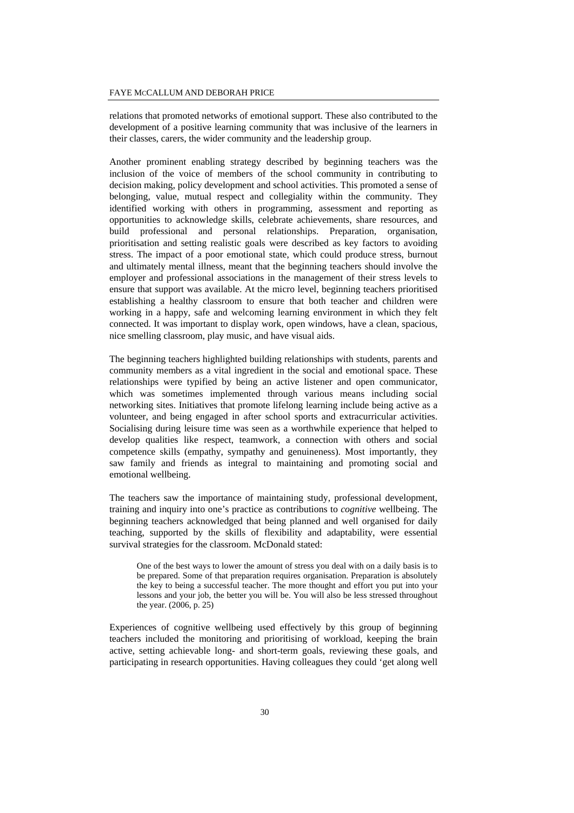relations that promoted networks of emotional support. These also contributed to the development of a positive learning community that was inclusive of the learners in their classes, carers, the wider community and the leadership group.

Another prominent enabling strategy described by beginning teachers was the inclusion of the voice of members of the school community in contributing to decision making, policy development and school activities. This promoted a sense of belonging, value, mutual respect and collegiality within the community. They identified working with others in programming, assessment and reporting as opportunities to acknowledge skills, celebrate achievements, share resources, and build professional and personal relationships. Preparation, organisation, prioritisation and setting realistic goals were described as key factors to avoiding stress. The impact of a poor emotional state, which could produce stress, burnout and ultimately mental illness, meant that the beginning teachers should involve the employer and professional associations in the management of their stress levels to ensure that support was available. At the micro level, beginning teachers prioritised establishing a healthy classroom to ensure that both teacher and children were working in a happy, safe and welcoming learning environment in which they felt connected. It was important to display work, open windows, have a clean, spacious, nice smelling classroom, play music, and have visual aids.

The beginning teachers highlighted building relationships with students, parents and community members as a vital ingredient in the social and emotional space. These relationships were typified by being an active listener and open communicator, which was sometimes implemented through various means including social networking sites. Initiatives that promote lifelong learning include being active as a volunteer, and being engaged in after school sports and extracurricular activities. Socialising during leisure time was seen as a worthwhile experience that helped to develop qualities like respect, teamwork, a connection with others and social competence skills (empathy, sympathy and genuineness). Most importantly, they saw family and friends as integral to maintaining and promoting social and emotional wellbeing.

The teachers saw the importance of maintaining study, professional development, training and inquiry into one's practice as contributions to *cognitive* wellbeing. The beginning teachers acknowledged that being planned and well organised for daily teaching, supported by the skills of flexibility and adaptability, were essential survival strategies for the classroom. McDonald stated:

One of the best ways to lower the amount of stress you deal with on a daily basis is to be prepared. Some of that preparation requires organisation. Preparation is absolutely the key to being a successful teacher. The more thought and effort you put into your lessons and your job, the better you will be. You will also be less stressed throughout the year. (2006, p. 25)

Experiences of cognitive wellbeing used effectively by this group of beginning teachers included the monitoring and prioritising of workload, keeping the brain active, setting achievable long- and short-term goals, reviewing these goals, and participating in research opportunities. Having colleagues they could 'get along well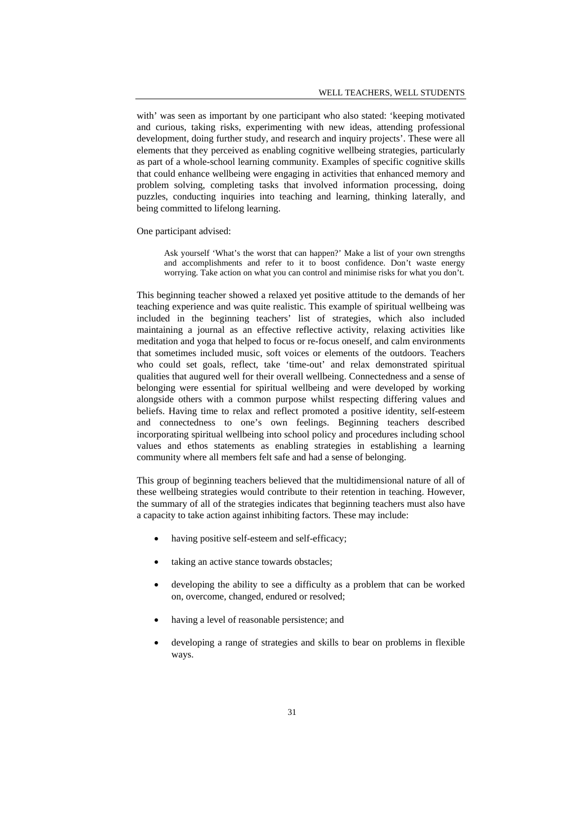with' was seen as important by one participant who also stated: 'keeping motivated and curious, taking risks, experimenting with new ideas, attending professional development, doing further study, and research and inquiry projects'. These were all elements that they perceived as enabling cognitive wellbeing strategies, particularly as part of a whole-school learning community. Examples of specific cognitive skills that could enhance wellbeing were engaging in activities that enhanced memory and problem solving, completing tasks that involved information processing, doing puzzles, conducting inquiries into teaching and learning, thinking laterally, and being committed to lifelong learning.

One participant advised:

Ask yourself 'What's the worst that can happen?' Make a list of your own strengths and accomplishments and refer to it to boost confidence. Don't waste energy worrying. Take action on what you can control and minimise risks for what you don't.

This beginning teacher showed a relaxed yet positive attitude to the demands of her teaching experience and was quite realistic. This example of spiritual wellbeing was included in the beginning teachers' list of strategies, which also included maintaining a journal as an effective reflective activity, relaxing activities like meditation and yoga that helped to focus or re-focus oneself, and calm environments that sometimes included music, soft voices or elements of the outdoors. Teachers who could set goals, reflect, take 'time-out' and relax demonstrated spiritual qualities that augured well for their overall wellbeing. Connectedness and a sense of belonging were essential for spiritual wellbeing and were developed by working alongside others with a common purpose whilst respecting differing values and beliefs. Having time to relax and reflect promoted a positive identity, self-esteem and connectedness to one's own feelings. Beginning teachers described incorporating spiritual wellbeing into school policy and procedures including school values and ethos statements as enabling strategies in establishing a learning community where all members felt safe and had a sense of belonging.

This group of beginning teachers believed that the multidimensional nature of all of these wellbeing strategies would contribute to their retention in teaching. However, the summary of all of the strategies indicates that beginning teachers must also have a capacity to take action against inhibiting factors. These may include:

- having positive self-esteem and self-efficacy;
- taking an active stance towards obstacles;
- developing the ability to see a difficulty as a problem that can be worked on, overcome, changed, endured or resolved;
- having a level of reasonable persistence; and
- developing a range of strategies and skills to bear on problems in flexible ways.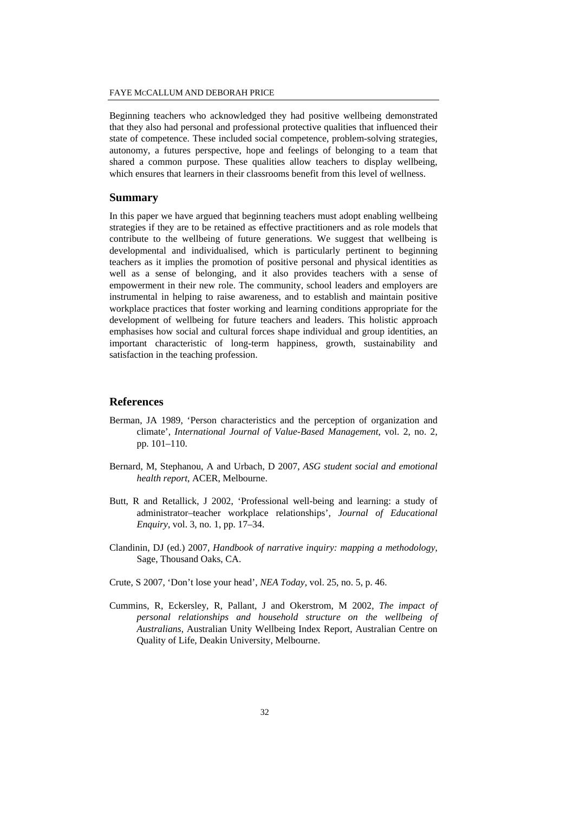Beginning teachers who acknowledged they had positive wellbeing demonstrated that they also had personal and professional protective qualities that influenced their state of competence. These included social competence, problem-solving strategies, autonomy, a futures perspective, hope and feelings of belonging to a team that shared a common purpose. These qualities allow teachers to display wellbeing, which ensures that learners in their classrooms benefit from this level of wellness.

#### **Summary**

In this paper we have argued that beginning teachers must adopt enabling wellbeing strategies if they are to be retained as effective practitioners and as role models that contribute to the wellbeing of future generations. We suggest that wellbeing is developmental and individualised, which is particularly pertinent to beginning teachers as it implies the promotion of positive personal and physical identities as well as a sense of belonging, and it also provides teachers with a sense of empowerment in their new role. The community, school leaders and employers are instrumental in helping to raise awareness, and to establish and maintain positive workplace practices that foster working and learning conditions appropriate for the development of wellbeing for future teachers and leaders. This holistic approach emphasises how social and cultural forces shape individual and group identities, an important characteristic of long-term happiness, growth, sustainability and satisfaction in the teaching profession.

## **References**

- Berman, JA 1989, 'Person characteristics and the perception of organization and climate', *International Journal of Value-Based Management*, vol. 2, no. 2, pp. 101–110.
- Bernard, M, Stephanou, A and Urbach, D 2007, *ASG student social and emotional health report*, ACER, Melbourne.
- Butt, R and Retallick, J 2002, 'Professional well-being and learning: a study of administrator–teacher workplace relationships', *Journal of Educational Enquiry*, vol. 3, no. 1, pp. 17–34.
- Clandinin, DJ (ed.) 2007, *Handbook of narrative inquiry: mapping a methodology*, Sage, Thousand Oaks, CA.
- Crute, S 2007, 'Don't lose your head', *NEA Today*, vol. 25, no. 5, p. 46.
- Cummins, R, Eckersley, R, Pallant, J and Okerstrom, M 2002, *The impact of personal relationships and household structure on the wellbeing of Australians*, Australian Unity Wellbeing Index Report, Australian Centre on Quality of Life, Deakin University, Melbourne.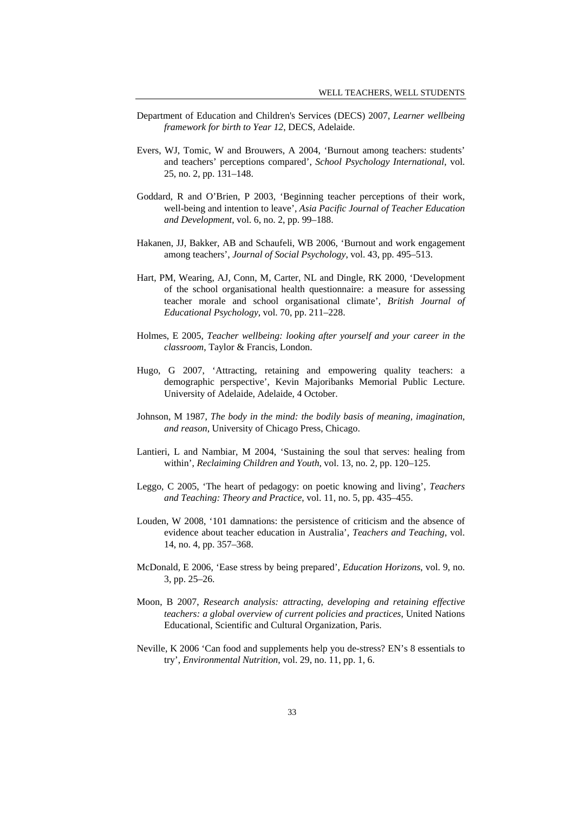- Department of Education and Children's Services (DECS) 2007, *Learner wellbeing framework for birth to Year 12*, DECS, Adelaide.
- Evers, WJ, Tomic, W and Brouwers, A 2004, 'Burnout among teachers: students' and teachers' perceptions compared', *School Psychology International*, vol. 25, no. 2, pp. 131–148.
- Goddard, R and O'Brien, P 2003, 'Beginning teacher perceptions of their work, well-being and intention to leave', *Asia Pacific Journal of Teacher Education and Development*, vol. 6, no. 2, pp. 99–188.
- Hakanen, JJ, Bakker, AB and Schaufeli, WB 2006, 'Burnout and work engagement among teachers', *Journal of Social Psychology*, vol. 43, pp. 495–513.
- Hart, PM, Wearing, AJ, Conn, M, Carter, NL and Dingle, RK 2000, 'Development of the school organisational health questionnaire: a measure for assessing teacher morale and school organisational climate', *British Journal of Educational Psychology*, vol. 70, pp. 211–228.
- Holmes, E 2005, *Teacher wellbeing: looking after yourself and your career in the classroom*, Taylor & Francis, London.
- Hugo, G 2007, 'Attracting, retaining and empowering quality teachers: a demographic perspective', Kevin Majoribanks Memorial Public Lecture. University of Adelaide, Adelaide, 4 October.
- Johnson, M 1987, *The body in the mind: the bodily basis of meaning, imagination, and reason*, University of Chicago Press, Chicago.
- Lantieri, L and Nambiar, M 2004, 'Sustaining the soul that serves: healing from within', *Reclaiming Children and Youth*, vol. 13, no. 2, pp. 120–125.
- Leggo, C 2005, 'The heart of pedagogy: on poetic knowing and living', *Teachers and Teaching: Theory and Practice*, vol. 11, no. 5, pp. 435–455.
- Louden, W 2008, '101 damnations: the persistence of criticism and the absence of evidence about teacher education in Australia', *Teachers and Teaching*, vol. 14, no. 4, pp. 357–368.
- McDonald, E 2006, 'Ease stress by being prepared', *Education Horizons*, vol. 9, no. 3, pp. 25–26.
- Moon, B 2007, *Research analysis: attracting, developing and retaining effective teachers: a global overview of current policies and practices*, United Nations Educational, Scientific and Cultural Organization, Paris.
- Neville, K 2006 'Can food and supplements help you de-stress? EN's 8 essentials to try', *Environmental Nutrition*, vol. 29, no. 11, pp. 1, 6.